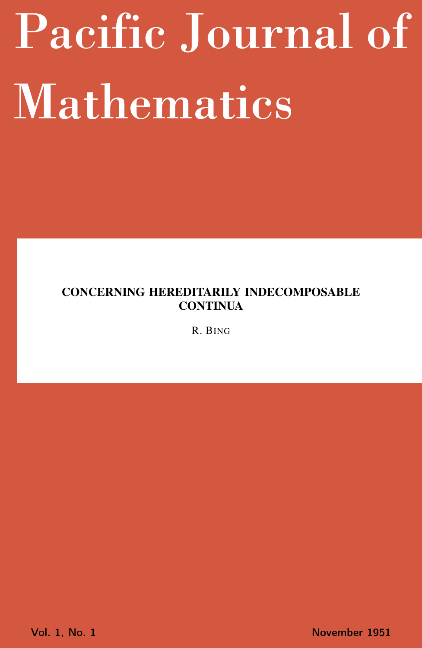# <span id="page-0-0"></span>Pacific Journal of Mathematics

# CONCERNING HEREDITARILY INDECOMPOSABLE **CONTINUA**

R. BING

Vol. 1, No. 1 November 1951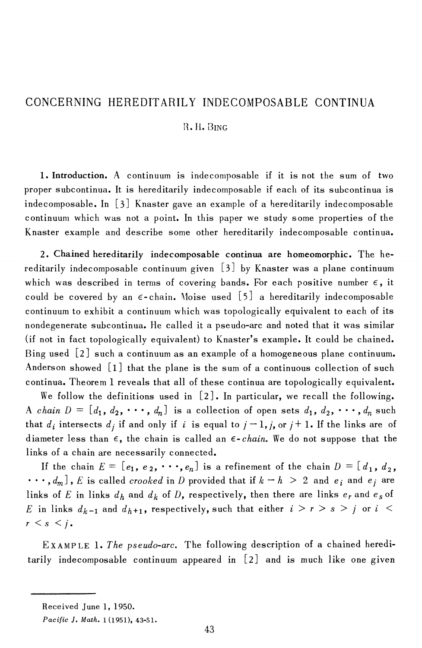## CONCERNING HEREDITARILY INDECOMPOSABLE CONTINUA

### R. H. BING

1. Introduction. A continuum is indecomposable if it is not the sum of two proper subcontinua. It is hereditarily indecomposable if each of its subcontinua is indecomposable. In [3] Knaster gave an example of a hereditarily indecomposable continuum which was not a point. In this paper we study some properties of the Knaster example and describe some other hereditarily indecomposable continua.

2. Chained hereditarily indecomposable continua are homeomorphic. The hereditarily indecomposable continuum given  $\lceil 3 \rceil$  by Knaster was a plane continuum which was described in terms of covering bands. For each positive number  $\epsilon$ , it could be covered by an  $\epsilon$ -chain. Moise used [5] a hereditarily indecomposable continuum to exhibit a continuum which was topologically equivalent to each of its nondegenerate subcontinua. He called it a pseudo-arc and noted that it was similar (if not in fact topologically equivalent) to Knaster's example. It could be chained. Bing used [2] such a continuum as an example of a homogeneous plane continuum. Anderson showed [1] that the plane is the sum of a continuous collection of such continua. Theorem 1 reveals that all of these continua are topologically equivalent.

We follow the definitions used in  $[2]$ . In particular, we recall the following. A chain  $D = [d_1, d_2, \cdots, d_n]$  is a collection of open sets  $d_1, d_2, \cdots, d_n$  such that  $d_i$  intersects  $d_j$  if and only if i is equal to  $j-1$ , j, or  $j+1$ . If the links are of diameter less than  $\epsilon$ , the chain is called an  $\epsilon$ -chain. We do not suppose that the links of a chain are necessarily connected.

If the chain  $E = [e_1, e_2, \dots, e_n]$  is a refinement of the chain  $D = [d_1, d_2,$  $\cdots$ ,  $d_m$ ], E is called *crooked* in D provided that if  $k - h > 2$  and  $e_i$  and  $e_j$  are links of E in links  $d_h$  and  $d_k$  of D, respectively, then there are links  $e_r$  and  $e_s$  of E in links  $d_{k-1}$  and  $d_{h+1}$ , respectively, such that either  $i > r > s > j$  or  $i <$  $r \leq s \leq j$ .

EXAMPLE 1. The pseudo-arc. The following description of a chained hereditarily indecomposable continuum appeared in  $[2]$  and is much like one given

Received June 1, 1950.

Pacific J. Math. 1 (1951), 43-51.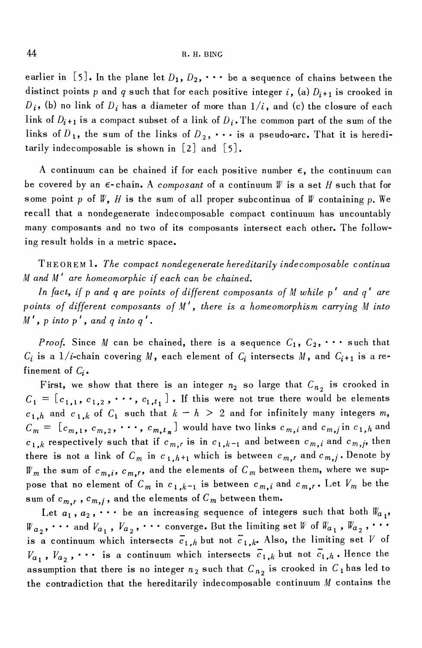earlier in [5]. In the plane let  $D_1, D_2, \cdots$  be a sequence of chains between the distinct points p and q such that for each positive integer i, (a)  $D_{i+1}$  is crooked in  $D_i$ , (b) no link of  $D_i$  has a diameter of more than  $1/i$ , and (c) the closure of each link of  $D_{i+1}$  is a compact subset of a link of  $D_i$ . The common part of the sum of the links of  $D_1$ , the sum of the links of  $D_2$ ,  $\cdots$  is a pseudo-arc. That it is hereditarily indecomposable is shown in  $\lbrack 2 \rbrack$  and  $\lbrack 5 \rbrack$ .

A continuum can be chained if for each positive number  $\epsilon$ , the continuum can be covered by an  $\epsilon$ -chain. A *composant* of a continuum W is a set H such that for some point p of  $\mathbb{V}$ , H is the sum of all proper subcontinua of  $\mathbb{V}$  containing p. We recall that a nondegenerate indecomposable compact continuum has uncountably many composants and no two of its composants intersect each other. The following result holds in a metric space.

THEOREM 1. The compact nondegenerate hereditarily indecomposable continua M and M' are homeomorphic if each can be chained.

In fact, if p and q are points of different composants of M while  $p'$  and  $q'$  are points of different composants of  $M'$ , there is a homeomorphism carrying M into  $M'$ , p into p', and q into q'.

*Proof.* Since *M* can be chained, there is a sequence  $C_1$ ,  $C_2$ ,  $\cdots$  such that  $C_i$  is a 1/*i*-chain covering M, each element of  $C_i$  intersects M, and  $C_{i+1}$  is a refinement of  $C_i$ .

First, we show that there is an integer  $n_2$  so large that  $C_{n_2}$  is crooked in  $C_1 = [c_{1,1}, c_{1,2}, \cdots, c_{1,t_1}]$ . If this were not true there would be elements  $c_{1,h}$  and  $c_{1,k}$  of  $C_1$  such that  $k-h > 2$  and for infinitely many integers m,  $C_m = [c_{m,1}, c_{m,2}, \cdots, c_{m,t_m}]$  would have two links  $c_{m,i}$  and  $c_{m,j}$  in  $c_{1,h}$  and  $c_{1,k}$  respectively such that if  $c_{m,r}$  is in  $c_{1,k-1}$  and between  $c_{m,i}$  and  $c_{m,j}$ , then there is not a link of  $C_m$  in  $c_{1,h+1}$  which is between  $c_{m,r}$  and  $c_{m,j}$ . Denote by  $W_m$  the sum of  $c_{m,i}$ ,  $c_{m,r}$ , and the elements of  $C_m$  between them, where we suppose that no element of  $C_m$  in  $c_{1,k-1}$  is between  $c_{m,i}$  and  $c_{m,r}$ . Let  $V_m$  be the sum of  $c_{m,r}$ ,  $c_{m,j}$ , and the elements of  $C_m$  between them.

Let  $a_1, a_2, \cdots$  be an increasing sequence of integers such that both  $W_{a_1}$ ,  $W_{a_2}, \cdots$  and  $V_{a_1}$ ,  $V_{a_2}, \cdots$  converge. But the limiting set W of  $W_{a_1}$ ,  $W_{a_2}$ ,  $\cdots$ is a continuum which intersects  $\overline{c}_{1,h}$  but not  $\overline{c}_{1,k}$ . Also, the limiting set V of  $V_{a_1}$ ,  $V_{a_2}$ ,  $\cdots$  is a continuum which intersects  $\bar{c}_{1,k}$  but not  $\bar{c}_{1,k}$ . Hence the assumption that there is no integer  $n_2$  such that  $C_{n_2}$  is crooked in  $C_1$  has led to the contradiction that the hereditarily indecomposable continuum M contains the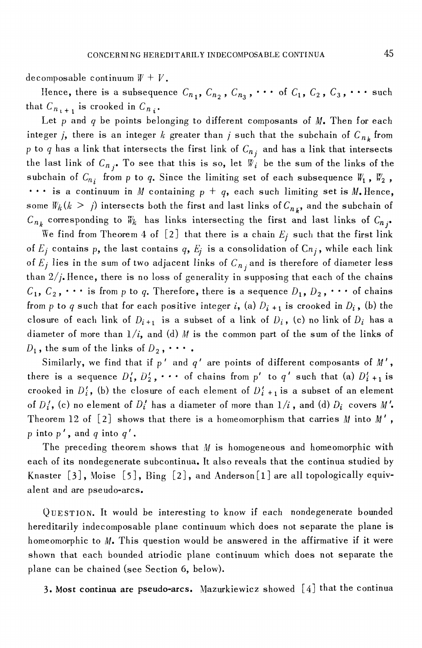decomposable continuum  $W + V$ .

Hence, there is a subsequence  $C_{n_1}, C_{n_2}, C_{n_3}, \cdots$  of  $C_1, C_2, C_3, \cdots$  such that  $C_{n_{i+1}}$  is crooked in  $C_{n_i}$ .

Let  $p$  and  $q$  be points belonging to different composants of  $M$ . Then for each integer *j*, there is an integer *k* greater than *j* such that the subchain of  $C_{n_k}$  from p to q has a link that intersects the first link of  $C_{n_j}$  and has a link that intersects the last link of  $C_{n_i}$ . To see that this is so, let  $\mathbb{V}_i$  be the sum of the links of the subchain of  $C_{n_i}$  from p to q. Since the limiting set of each subsequence  $W_1$ ,  $W_2$ ,  $\cdots$  is a continuum in M containing  $p + q$ , each such limiting set is M. Hence, some  $W_k$  ( $k > j$ ) intersects both the first and last links of  $C_{n_k}$ , and the subchain of  $C_{n_k}$  corresponding to  $W_k$  has links intersecting the first and last links of  $C_{n_j}$ .

We find from Theorem 4 of  $[2]$  that there is a chain  $E_j$  such that the first link of  $E_i$  contains p, the last contains q,  $E_i$  is a consolidation of  $C_{n_i}$ , while each link of  $E_i$  lies in the sum of two adjacent links of  $C_{n_i}$  and is therefore of diameter less than  $2/i$ . Hence, there is no loss of generality in supposing that each of the chains  $C_1, C_2, \cdots$  is from p to q. Therefore, there is a sequence  $D_1, D_2, \cdots$  of chains from p to q such that for each positive integer i, (a)  $D_{i+1}$  is crooked in  $D_i$ , (b) the closure of each link of  $D_{i+1}$  is a subset of a link of  $D_i$ , (c) no link of  $D_i$  has a diameter of more than  $1/i$ , and (d) M is the common part of the sum of the links of  $D_1$ , the sum of the links of  $D_2$ ,  $\cdots$  .

Similarly, we find that if  $p'$  and  $q'$  are points of different composants of  $M'$ , there is a sequence  $D'_1$ ,  $D'_2$ ,  $\cdots$  of chains from p' to q' such that (a)  $D'_{i+1}$  is crooked in  $D_i'$ , (b) the closure of each element of  $D_{i+1}'$  is a subset of an element of  $D'_i$ , (c) no element of  $D'_i$  has a diameter of more than  $1/i$ , and (d)  $D_i$  covers M'. Theorem 12 of [2] shows that there is a homeomorphism that carries M into  $M'$ , p into p', and q into  $q'$ .

The preceding theorem shows that  $M$  is homogeneous and homeomorphic with each of its nondegenerate subcontinua. It also reveals that the continua studied by Knaster  $\lceil 3 \rfloor$ , Moise  $\lceil 5 \rceil$ , Bing  $\lceil 2 \rfloor$ , and Anderson $\lceil 1 \rceil$  are all topologically equivalent and are pseudo-arcs.

QUESTION. It would be interesting to know if each nondegenerate bounded hereditarily indecomposable plane continuum which does not separate the plane is homeomorphic to M. This question would be answered in the affirmative if it were shown that each bounded atriodic plane continuum which does not separate the plane can be chained (see Section 6, below).

3. Most continua are pseudo-arcs. Mazurkiewicz showed [4] that the continua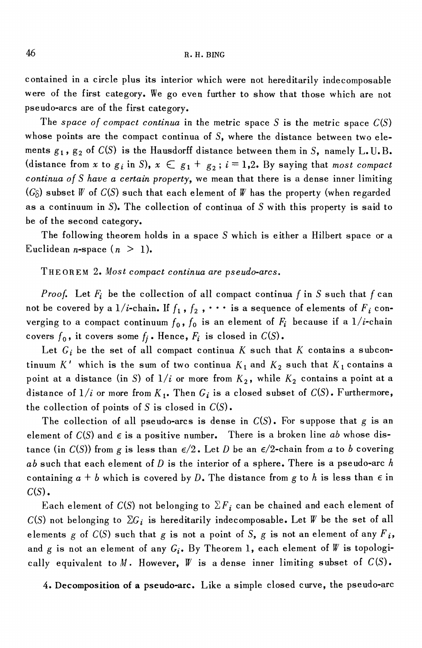contained in a circle plus its interior which were not hereditarily indecomposable were of the first category. We go even further to show that those which are not pseudo-arcs are of the first category.

The space of compact continua in the metric space S is the metric space  $C(S)$ whose points are the compact continua of S, where the distance between two elements  $g_1$ ,  $g_2$  of  $C(S)$  is the Hausdorff distance between them in S, namely L.U.B. (distance from x to  $g_i$  in S),  $x \in g_1 + g_2$ ;  $i = 1,2$ . By saying that most compact continua of S have a certain property, we mean that there is a dense inner limiting  $(G_{\delta})$  subset W of  $C(S)$  such that each element of W has the property (when regarded as a continuum in  $S$ ). The collection of continua of  $S$  with this property is said to be of the second category.

The following theorem holds in a space S which is either a Hilbert space or a Euclidean *n*-space  $(n > 1)$ .

THEOREM 2. Most compact continua are pseudo-arcs.

*Proof.* Let  $F_i$  be the collection of all compact continua f in S such that f can not be covered by a  $1/i$ -chain. If  $f_1$ ,  $f_2$ ,  $\cdots$  is a sequence of elements of  $F_i$  converging to a compact continuum  $f_0$ ,  $f_0$  is an element of  $F_i$  because if a  $1/i$ -chain covers  $f_0$ , it covers some  $f_i$ . Hence,  $F_i$  is closed in  $C(S)$ .

Let  $G_i$  be the set of all compact continua K such that K contains a subcontinuum K' which is the sum of two continua  $K_1$  and  $K_2$  such that  $K_1$  contains a point at a distance (in S) of  $1/i$  or more from  $K_2$ , while  $K_2$  contains a point at a distance of  $1/i$  or more from  $K_{1}$ . Then  $G_{i}$  is a closed subset of  $C(S)$ . Furthermore, the collection of points of S is closed in  $C(S)$ .

The collection of all pseudo-arcs is dense in  $C(S)$ . For suppose that g is an element of  $C(S)$  and  $\epsilon$  is a positive number. There is a broken line ab whose distance (in C(S)) from g is less than  $\epsilon/2$ . Let D be an  $\epsilon/2$ -chain from a to b covering ab such that each element of D is the interior of a sphere. There is a pseudo-arc h containing  $a + b$  which is covered by D. The distance from g to h is less than  $\epsilon$  in  $C(S)$ .

Each element of C(S) not belonging to  $\Sigma F_i$  can be chained and each element of  $C(S)$  not belonging to  $\Sigma G_i$  is hereditarily indecomposable. Let W be the set of all elements g of  $C(S)$  such that g is not a point of S, g is not an element of any  $F_i$ , and g is not an element of any  $G_i$ . By Theorem 1, each element of W is topologically equivalent to M. However, W is a dense inner limiting subset of  $C(S)$ .

4. Decomposition of a pseudo-arc. Like a simple closed curve, the pseudo-arc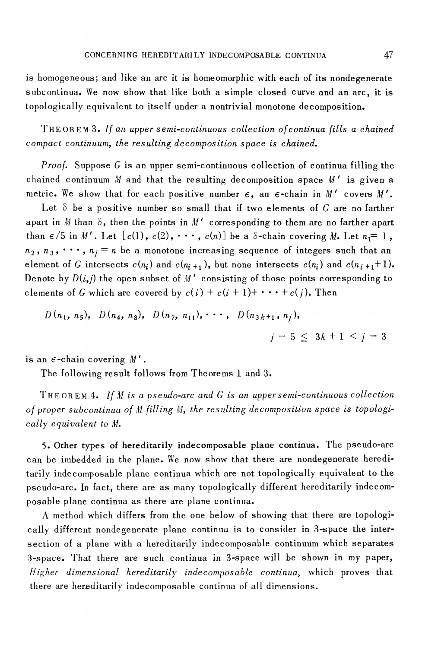is homogeneous; and like an arc it is homeomorphic with each of its nondegenerate subcontinua. We now show that like both a simple closed curve and an arc, it is topologically equivalent to itself under a nontrivial monotone decomposition.

THEOREM 3. If an upper semi-continuous collection of continua fills a chained compact continuum, the resulting decomposition space is chained.

*Proof.* Suppose G is an upper semi-continuous collection of continua filling the chained continuum  $M$  and that the resulting decomposition space  $M'$  is given a metric. We show that for each positive number  $\epsilon$ , an  $\epsilon$ -chain in M' covers M'.

Let  $\delta$  be a positive number so small that if two elements of G are no farther apart in M than  $\delta$ , then the points in M' corresponding to them are no farther apart than  $\epsilon/5$  in M'. Let  $[c(1), c(2), \cdots, c(n)]$  be a  $\delta$ -chain covering M. Let  $n_1 = 1$ ,  $n_2, n_3, \dots, n_i = n$  be a monotone increasing sequence of integers such that an element of G intersects  $c(n_i)$  and  $c(n_{i+1})$ , but none intersects  $c(n_i)$  and  $c(n_{i+1}+1)$ . Denote by  $D(i, j)$  the open subset of  $M'$  consisting of those points corresponding to elements of G which are covered by  $c(i) + c(i+1) + \cdots + c(j)$ . Then

$$
D(n_1, n_5)
$$
,  $D(n_4, n_8)$ ,  $D(n_7, n_{11})$ ,  $\cdots$ ,  $D(n_{3k+1}, n_j)$ ,  
 $j-5 \leq 3k+1 < j-3$ 

is an  $\epsilon$ -chain covering  $M'$ .

The following result follows from Theorems 1 and 3.

THEOREM 4. If M is a pseudo-arc and G is an upper semi-continuous collection of proper subcontinua of M filling M, the resulting decomposition space is topologically equivalent to M.

5. Other types of hereditarily indecomposable plane continua. The pseudo-arc can be imbedded in the plane. We now show that there are nondegenerate hereditarily indecomposable plane continua which are not topologically equivalent to the pseudo-arc. In fact, there are as many topologically different hereditarily indecomposable plane continua as there are plane continua.

A method which differs from the one below of showing that there are topologically different nondegenerate plane continua is to consider in 3-space the intersection of a plane with a hereditarily indecomposable continuum which separates 3-space. That there are such continua in 3-space will be shown in my paper, Higher dimensional hereditarily indecomposable continua, which proves that there are hereditarily indecomposable continua of all dimensions.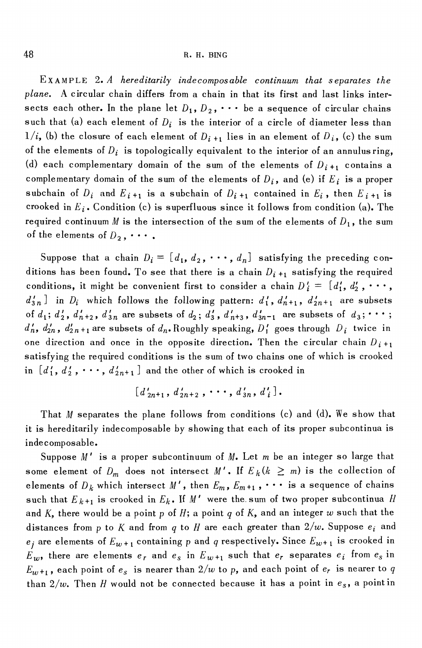EXAMPLE 2.A hereditarily indecomposable continuum that separates the plane. A circular chain differs from a chain in that its first and last links intersects each other. In the plane let  $D_1, D_2, \cdots$  be a sequence of circular chains such that (a) each element of  $D_i$  is the interior of a circle of diameter less than  $1/i$ , (b) the closure of each element of  $D_{i+1}$  lies in an element of  $D_i$ , (c) the sum of the elements of  $D_i$  is topologically equivalent to the interior of an annulus ring, (d) each complementary domain of the sum of the elements of  $D_{i+1}$  contains a complementary domain of the sum of the elements of  $D_i$ , and (e) if  $E_i$  is a proper subchain of  $D_i$  and  $E_{i+1}$  is a subchain of  $D_{i+1}$  contained in  $E_i$ , then  $E_{i+1}$  is crooked in  $E_i$ . Condition (c) is superfluous since it follows from condition (a). The required continuum M is the intersection of the sum of the elements of  $D_1$ , the sum of the elements of  $D_2, \cdots$  .

Suppose that a chain  $D_i = [d_1, d_2, \cdots, d_n]$  satisfying the preceding conditions has been found. To see that there is a chain  $D_{i+1}$  satisfying the required conditions, it might be convenient first to consider a chain  $D'_i = [d'_1, d'_2, \cdots, d'_n]$  $d'_{3n}$ ] in  $D_i$  which follows the following pattern:  $d'_1$ ,  $d'_{n+1}$ ,  $d'_{2n+1}$  are subsets of  $d_1$ ;  $d'_2$ ,  $d'_{n+2}$ ,  $d'_{3n}$  are subsets of  $d_2$ ;  $d'_3$ ,  $d'_{n+3}$ ,  $d'_{3n-1}$  are subsets of  $d_3$ ;  $\cdots$ ;  $d'_n, d'_{2n}, d'_{2n+1}$  are subsets of  $d_n$ . Roughly speaking,  $D'_1$  goes through  $D_i$  twice in one direction and once in the opposite direction. Then the circular chain  $D_{i+1}$ satisfying the required conditions is the sum of two chains one of which is crooked in  $\left[ d'_1, d'_2, \cdots, d'_{2n+1} \right]$  and the other of which is crooked in

$$
[d'_{2n+1}, d'_{2n+2}, \cdots, d'_{3n}, d'_{i}].
$$

That M separates the plane follows from conditions (c) and (d). We show that it is hereditarily indecomposable by showing that each of its proper subcontinua is indecomposable.

Suppose M' is a proper subcontinuum of M. Let m be an integer so large that some element of  $D_m$  does not intersect M'. If  $E_k(k \geq m)$  is the collection of elements of  $D_k$  which intersect M', then  $E_m$ ,  $E_{m+1}$ ,  $\cdots$  is a sequence of chains such that  $E_{k+1}$  is crooked in  $E_k$ . If M' were the sum of two proper subcontinua H and K, there would be a point p of H; a point q of K, and an integer w such that the distances from p to K and from q to H are each greater than  $2/w$ . Suppose  $e_i$  and  $e_i$  are elements of  $E_{w+1}$  containing p and q respectively. Since  $E_{w+1}$  is crooked in  $E_w$ , there are elements  $e_r$  and  $e_s$  in  $E_{w+1}$  such that  $e_r$  separates  $e_i$  from  $e_s$  in  $E_{w^+1}$ , each point of  $e_s$  is nearer than  $2/w$  to p, and each point of  $e_r$  is nearer to  $q$ than  $2/w$ . Then H would not be connected because it has a point in  $e_s$ , a point in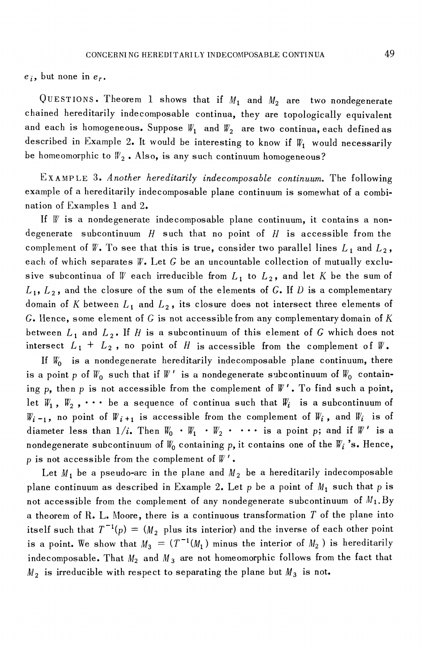$e_i$ , but none in  $e_i$ .

QUESTIONS. Theorem 1 shows that if  $M_1$  and  $M_2$  are two nondegenerate chained hereditarily indecomposable continua, they are topologically equivalent and each is homogeneous. Suppose  $W_1$  and  $W_2$  are two continua, each defined as described in Example 2. It would be interesting to know if  $W_1$  would necessarily be homeomorphic to  $W_2$ . Also, is any such continuum homogeneous?

EXAMPLE 3. Another hereditarily indecomposable continuum. The following example of a hereditarily indecomposable plane continuum is somewhat of a combination of Examples 1 and 2.

If W is a nondegenerate indecomposable plane continuum, it contains a nondegenerate subcontinuum H such that no point of H is accessible from the complement of W. To see that this is true, consider two parallel lines  $L_1$  and  $L_2$ , each of which separates  $W$ . Let G be an uncountable collection of mutually exclusive subcontinua of W each irreducible from  $L_1$  to  $L_2$ , and let K be the sum of  $L_1$ ,  $L_2$ , and the closure of the sum of the elements of G. If D is a complementary domain of K between  $L_1$  and  $L_2$ , its closure does not intersect three elements of  $G$ . Hence, some element of  $G$  is not accessible from any complementary domain of  $K$ between  $L_1$  and  $L_2$ . If H is a subcontinuum of this element of G which does not intersect  $L_1 + L_2$ , no point of H is accessible from the complement of W.

If  $W_0$  is a nondegenerate hereditarily indecomposable plane continuum, there is a point p of  $W_0$  such that if  $W'$  is a nondegenerate subcontinuum of  $W_0$  containing  $p$ , then  $p$  is not accessible from the complement of  $W'$ . To find such a point, let  $W_1$ ,  $W_2$ ,  $\cdots$  be a sequence of continua such that  $W_i$  is a subcontinuum of  $W_{i-1}$ , no point of  $W_{i+1}$  is accessible from the complement of  $W_i$ , and  $W_i$  is of diameter less than  $1/i$ . Then  $W_0 \cdot W_1 \cdot W_2 \cdot \cdots$  is a point p; and if  $W'$  is a nondegenerate subcontinuum of  $W_0$  containing p, it contains one of the  $W_i$  's. Hence, p is not accessible from the complement of  $W'$ .

Let  $M_1$  be a pseudo-arc in the plane and  $M_2$  be a hereditarily indecomposable plane continuum as described in Example 2. Let p be a point of  $M_1$  such that p is not accessible from the complement of any nondegenerate subcontinuum of  $M_1$ . By a theorem of R. L. Moore, there is a continuous transformation  $T$  of the plane into itself such that  $T^{-1}(p) = (M_2)$  plus its interior) and the inverse of each other point is a point. We show that  $M_3 = (T^{-1}(M_1)$  minus the interior of  $M_2$ ) is hereditarily indecomposable. That  $M_2$  and  $M_3$  are not homeomorphic follows from the fact that  $M_2$  is irreducible with respect to separating the plane but  $M_3$  is not.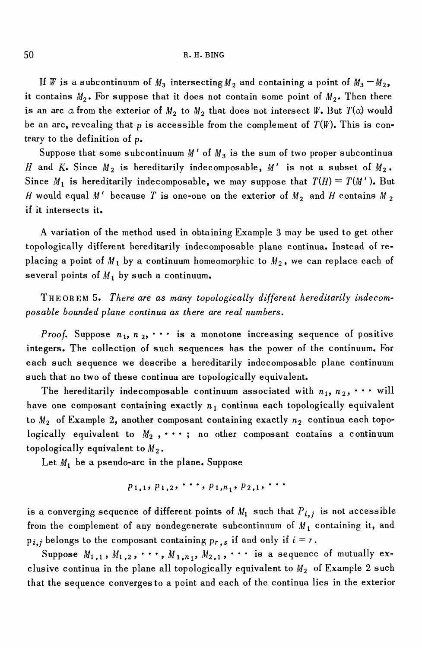### R. H. BING

If W is a subcontinuum of  $M_3$  intersecting  $M_2$  and containing a point of  $M_3 - M_2$ , it contains  $M_2$ . For suppose that it does not contain some point of  $M_2$ . Then there is an arc  $\alpha$  from the exterior of  $M_2$  to  $M_2$  that does not intersect W. But  $T(\alpha)$  would be an arc, revealing that p is accessible from the complement of  $T(\mathbb{W})$ . This is contrary to the definition of p.

Suppose that some subcontinuum  $M'$  of  $M_3$  is the sum of two proper subcontinua H and K. Since  $M_2$  is hereditarily indecomposable,  $M'$  is not a subset of  $M_2$ . Since  $M_1$  is hereditarily indecomposable, we may suppose that  $T(H) = T(M')$ . But H would equal M' because T is one-one on the exterior of  $M_2$  and H contains M<sub>2</sub> if it intersects it.

A variation of the method used in obtaining Example 3 may be used to get other topologically different hereditarily indecomposable plane continua. Instead of replacing a point of  $M_1$  by a continuum homeomorphic to  $M_2$ , we can replace each of several points of  $M_1$  by such a continuum.

THEOREM 5. There are as many topologically different hereditarily indecomposable bounded plane continua as there are real numbers.

*Proof.* Suppose  $n_1$ ,  $n_2$ ,  $\cdots$  is a monotone increasing sequence of positive integers. The collection of such sequences has the power of the continuum. For each such sequence we describe a hereditarily indecomposable plane continuum such that no two of these continua are topologically equivalent.

The hereditarily indecomposable continuum associated with  $n_1, n_2, \cdots$  will have one composant containing exactly  $n_1$  continua each topologically equivalent to  $M_2$  of Example 2, another composant containing exactly  $n_2$  continua each topologically equivalent to  $M_2$ , ...; no other composant contains a continuum topologically equivalent to  $M_2$ .

Let  $M_1$  be a pseudo-arc in the plane. Suppose

$$
p_{1,1}, p_{1,2}, \cdots, p_{1,n_1}, p_{2,1}, \cdots
$$

is a converging sequence of different points of  $M_1$  such that  $P_{i,j}$  is not accessible from the complement of any nondegenerate subcontinuum of  $M_1$  containing it, and  $p_{i,j}$  belongs to the composant containing  $p_{r,s}$  if and only if  $i = r$ .

Suppose  $M_{1,1}$ ,  $M_{1,2}$ ,  $\cdots$ ,  $M_{1,n_1}$ ,  $M_{2,1}$ ,  $\cdots$  is a sequence of mutually exclusive continua in the plane all topologically equivalent to  $M_2$  of Example 2 such that the sequence converges to a point and each of the continua lies in the exterior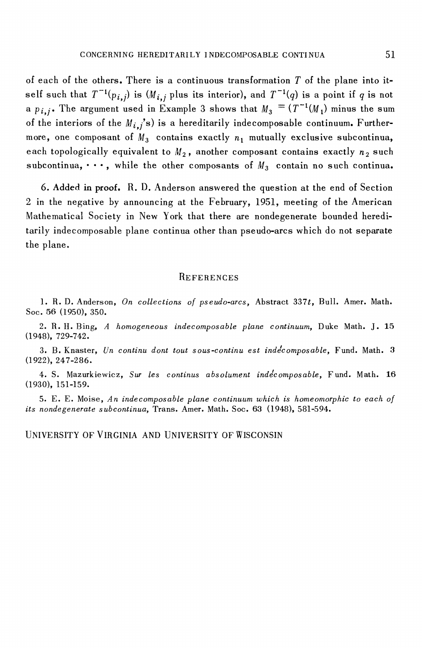of each of the others. There is a continuous transformation  $T$  of the plane into itself such that  $T^{-1}(p_{i,j})$  is  $(M_{i,j}$  plus its interior), and  $T^{-1}(q)$  is a point if q is not a  $p_{i,j}$ . The argument used in Example 3 shows that  $M_3 = (T^{-1}(M_1))$  minus the sum of the interiors of the  $M_{i,j}$ 's) is a hereditarily indecomposable continuum. Furthermore, one composant of  $M_3$  contains exactly  $n_1$  mutually exclusive subcontinua, each topologically equivalent to  $M_2$ , another composant contains exactly  $n_2$  such subcontinua,  $\cdots$ , while the other composants of  $M_3$  contain no such continua.

6. Added in proof. R. D. Anderson answered the question at the end of Section 2 in the negative by announcing at the February, 1951, meeting of the American Mathematical Society in New York that there are nondegenerate bounded hereditarily indecomposable plane continua other than pseudo-arcs which do not separate the plane.

### REFERENCES

1. R. D. Anderson, On collections of pseudo-arcs, Abstract 337t, Bull. Amer. Math. Soc. 56 (1950), 350.

2. R. H. Bing, A homogeneous indecomposable plane continuum, Duke Math. J. 15  $(1948), 729-742.$ 

3. B. Knaster, Un continu dont tout sous-continu est indecomposable, Fund. Math. 3  $(1922), 247-286.$ 

4. S. Mazurkiewicz, Sur les continus absolument indecomposable, Fund. Math. 16 (1930), 151-159.

5. E. E. Moise, An indecomposable plane continuum which is homeomorphic to each of its nondegenerate subcontinua, Trans. Amer. Math. Soc. 63 (1948), 581-594.

UNIVERSITY OF VIRGINIA AND UNIVERSITY OF WISCONSIN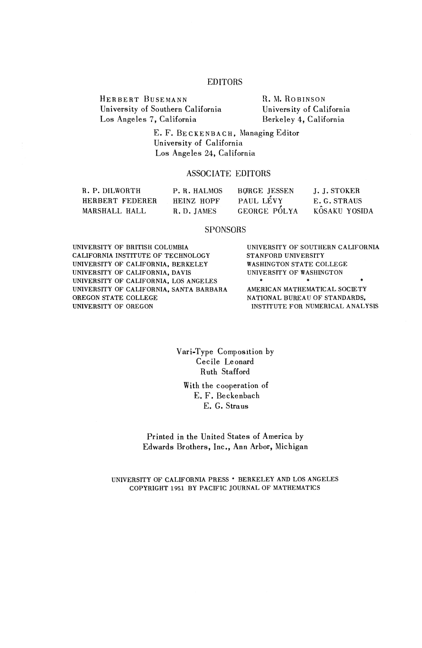### EDITORS

HERBERT BUSEMANN R. M. ROBINSON University of Southern California University of California Los Angeles 7, California Berkeley 4, California

E. F. BECKENBACH, Managing Editor University of California Los Angeles 24, California

### ASSOCIATE EDITORS

| R. P. DILWORTH  | P.R. HALMOS | <b>BORGE JESSEN</b> | J. J. STOKER  |
|-----------------|-------------|---------------------|---------------|
| HERBERT FEDERER | HEINZ HOPF  | PAUL LÉVY           | E. G. STRAUS  |
| MARSHALL HALL   | R.D. JAMES  | GEORGE PÓLYA        | KÔSAKU YOSIDA |

### **SPONSORS**

UNIVERSITY OF BRITISH COLUMBIA UNIVERSITY OF SOUTHERN CALIFORNIA CALIFORNIA INSTITUTE OF TECHNOLOGY STANFORD UNIVERSITY UNIVERSITY OF CALIFORNIA, BERKELEY WASHINGTON STATE COLLEGE UNIVERSITY OF WASHINGTON UNIVERSITY OF CALIFORNIA, DAVIS UNIVERSITY OF CALIFORNIA, LOS ANGELES \* \* \* \* \* \* UNIVERSITY OF CALIFORNIA, SANTA BARBARA AMERICAN MATHEMATICAL SOCIETY UNIVERSITY OF OREGON **INSTITUTE FOR NUMERICAL ANALYSIS** 

NATIONAL BUREAU OF STANDARDS,

Vari-Type Composition by Cecile Leonard Ruth Stafford

With the cooperation of E. F. Beckenbach E. G. Straus

Printed in the United States of America by Edwards Brothers, Inc., Ann Arbor, Michigan

UNIVERSITY OF CALIFORNIA PRESS . BERKELEY AND LOS ANGELES COPYRIGHT 1951 BY PACIFIC JOURNAL OF MATHEMATICS